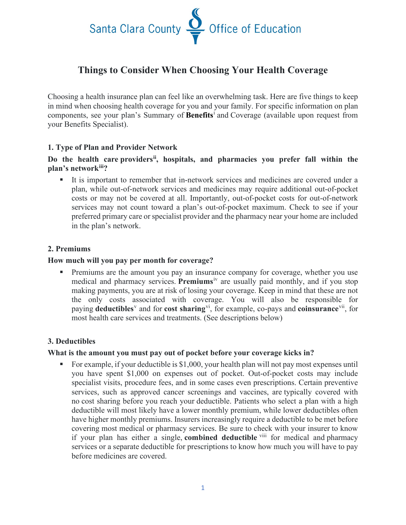

# **Things to Consider When Choosing Your Health Coverage**

Choosing a health insurance plan can feel like an overwhelming task. Here are five things to keep in mind when choosing health coverage for you and your family. For specific information on plan components, see your plan's Summary of **Benefits**[i](#page-2-0) and Coverage (available upon request from your Benefits Specialist).

# **1. Type of Plan and Provider Network**

# **Do the health care providers[ii,](#page-2-1) hospitals, and pharmacies you prefer fall within the plan's network[iii](#page-2-2)?**

 It is important to remember that in-network services and medicines are covered under a plan, while out-of-network services and medicines may require additional out-of-pocket costs or may not be covered at all. Importantly, out-of-pocket costs for out-of-network services may not count toward a plan's out-of-pocket maximum. Check to see if your preferred primary care or specialist provider and the pharmacy near your home are included in the plan's network.

#### **2. Premiums**

#### **How much will you pay per month for coverage?**

 Premiums are the amount you pay an insurance company for coverage, whether you use medical and pharmacy services. **Premiums**[iv](#page-2-3) are usually paid monthly, and if you stop making payments, you are at risk of losing your coverage. Keep in mind that these are not the only costs associated with coverage. You will also be responsible for paying **deductibles**[v](#page-2-4) and for **cost sharing**[vi,](#page-2-5) for example, co-pays and **coinsurance**[vii,](#page-2-6) for most health care services and treatments. (See descriptions below)

#### **3. Deductibles**

#### **What is the amount you must pay out of pocket before your coverage kicks in?**

For example, if your deductible is  $$1,000$ , your health plan will not pay most expenses until you have spent \$1,000 on expenses out of pocket. Out-of-pocket costs may include specialist visits, procedure fees, and in some cases even prescriptions. Certain preventive services, such as approved cancer screenings and vaccines, are typically covered with no cost sharing before you reach your deductible. Patients who select a plan with a high deductible will most likely have a lower monthly premium, while lower deductibles often have higher monthly premiums. Insurers increasingly require a deductible to be met before covering most medical or pharmacy services. Be sure to check with your insurer to know if your plan has either a single, **combined deductible** [viii](#page-2-7) for medical and pharmacy services or a separate deductible for prescriptions to know how much you will have to pay before medicines are covered.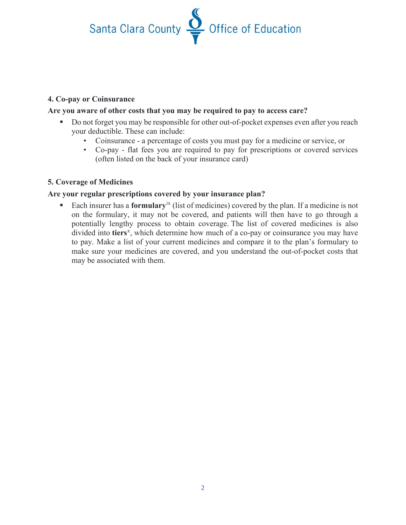Santa Clara County Soffice of Education

# **4. Co-pay or Coinsurance**

# **Are you aware of other costs that you may be required to pay to access care?**

- Do not forget you may be responsible for other out-of-pocket expenses even after you reach your deductible. These can include:
	- Coinsurance a percentage of costs you must pay for a medicine or service, or
	- Co-pay flat fees you are required to pay for prescriptions or covered services (often listed on the back of your insurance card)

# **5. Coverage of Medicines**

# **Are your regular prescriptions covered by your insurance plan?**

 Each insurer has a **formulary**[ix](#page-2-8) (list of medicines) covered by the plan. If a medicine is not on the formulary, it may not be covered, and patients will then have to go through a potentially lengthy process to obtain coverage. The list of covered medicines is also divided into tiers<sup>[x](#page-2-9)</sup>, which determine how much of a co-pay or coinsurance you may have to pay. Make a list of your current medicines and compare it to the plan's formulary to make sure your medicines are covered, and you understand the out-of-pocket costs that may be associated with them.